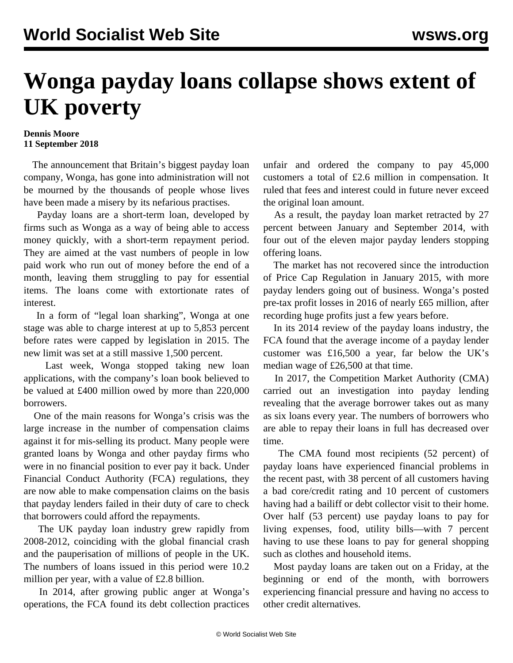## **Wonga payday loans collapse shows extent of UK poverty**

## **Dennis Moore 11 September 2018**

 The announcement that Britain's biggest payday loan company, Wonga, has gone into administration will not be mourned by the thousands of people whose lives have been made a misery by its nefarious practises.

 Payday loans are a short-term loan, developed by firms such as Wonga as a way of being able to access money quickly, with a short-term repayment period. They are aimed at the vast numbers of people in low paid work who run out of money before the end of a month, leaving them struggling to pay for essential items. The loans come with extortionate rates of interest.

 In a form of "legal loan sharking", Wonga at one stage was able to charge interest at up to 5,853 percent before rates were capped by legislation in 2015. The new limit was set at a still massive 1,500 percent.

 Last week, Wonga stopped taking new loan applications, with the company's loan book believed to be valued at £400 million owed by more than 220,000 borrowers.

 One of the main reasons for Wonga's crisis was the large increase in the number of compensation claims against it for mis-selling its product. Many people were granted loans by Wonga and other payday firms who were in no financial position to ever pay it back. Under Financial Conduct Authority (FCA) regulations, they are now able to make compensation claims on the basis that payday lenders failed in their duty of care to check that borrowers could afford the repayments.

 The UK payday loan industry grew rapidly from 2008-2012, coinciding with the global financial crash and the pauperisation of millions of people in the UK. The numbers of loans issued in this period were 10.2 million per year, with a value of £2.8 billion.

 In 2014, after growing public anger at Wonga's operations, the FCA found its debt collection practices

unfair and ordered the company to pay 45,000 customers a total of £2.6 million in compensation. It ruled that fees and interest could in future never exceed the original loan amount.

 As a result, the payday loan market retracted by 27 percent between January and September 2014, with four out of the eleven major payday lenders stopping offering loans.

 The market has not recovered since the introduction of Price Cap Regulation in January 2015, with more payday lenders going out of business. Wonga's posted pre-tax profit losses in 2016 of nearly £65 million, after recording huge profits just a few years before.

 In its 2014 review of the payday loans industry, the FCA found that the average income of a payday lender customer was £16,500 a year, far below the UK's median wage of £26,500 at that time.

 In 2017, the Competition Market Authority (CMA) carried out an investigation into payday lending revealing that the average borrower takes out as many as six loans every year. The numbers of borrowers who are able to repay their loans in full has decreased over time.

 The CMA found most recipients (52 percent) of payday loans have experienced financial problems in the recent past, with 38 percent of all customers having a bad core/credit rating and 10 percent of customers having had a bailiff or debt collector visit to their home. Over half (53 percent) use payday loans to pay for living expenses, food, utility bills—with 7 percent having to use these loans to pay for general shopping such as clothes and household items.

 Most payday loans are taken out on a Friday, at the beginning or end of the month, with borrowers experiencing financial pressure and having no access to other credit alternatives.